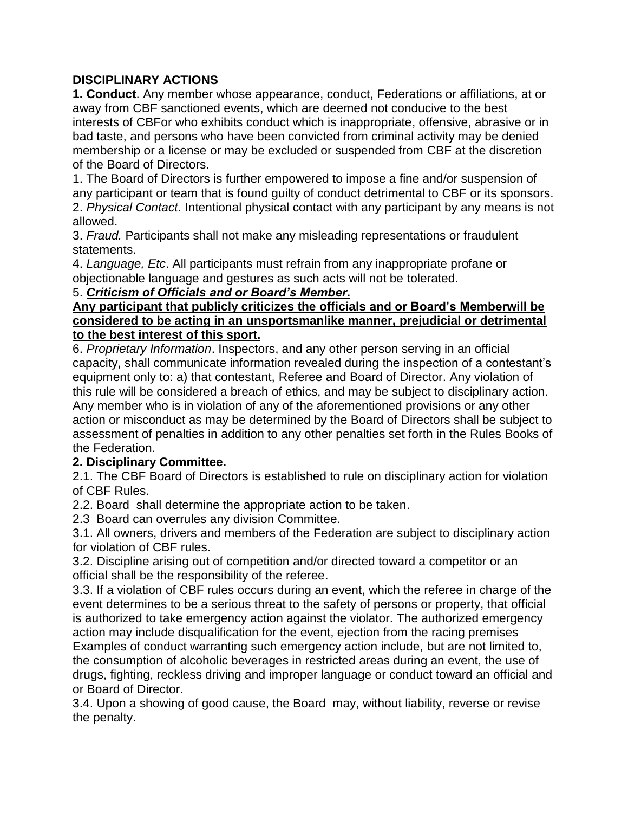## **DISCIPLINARY ACTIONS**

**1. Conduct**. Any member whose appearance, conduct, Federations or affiliations, at or away from CBF sanctioned events, which are deemed not conducive to the best interests of CBFor who exhibits conduct which is inappropriate, offensive, abrasive or in bad taste, and persons who have been convicted from criminal activity may be denied membership or a license or may be excluded or suspended from CBF at the discretion of the Board of Directors.

1. The Board of Directors is further empowered to impose a fine and/or suspension of any participant or team that is found guilty of conduct detrimental to CBF or its sponsors. 2. *Physical Contact*. Intentional physical contact with any participant by any means is not allowed.

3. *Fraud.* Participants shall not make any misleading representations or fraudulent statements.

4. *Language, Etc*. All participants must refrain from any inappropriate profane or objectionable language and gestures as such acts will not be tolerated.

## 5. *Criticism of Officials and or Board's Member***.**

## **Any participant that publicly criticizes the officials and or Board's Memberwill be considered to be acting in an unsportsmanlike manner, prejudicial or detrimental to the best interest of this sport.**

6. *Proprietary Information*. Inspectors, and any other person serving in an official capacity, shall communicate information revealed during the inspection of a contestant's equipment only to: a) that contestant, Referee and Board of Director. Any violation of this rule will be considered a breach of ethics, and may be subject to disciplinary action. Any member who is in violation of any of the aforementioned provisions or any other action or misconduct as may be determined by the Board of Directors shall be subject to assessment of penalties in addition to any other penalties set forth in the Rules Books of the Federation.

## **2. Disciplinary Committee.**

2.1. The CBF Board of Directors is established to rule on disciplinary action for violation of CBF Rules.

2.2. Board shall determine the appropriate action to be taken.

2.3 Board can overrules any division Committee.

3.1. All owners, drivers and members of the Federation are subject to disciplinary action for violation of CBF rules.

3.2. Discipline arising out of competition and/or directed toward a competitor or an official shall be the responsibility of the referee.

3.3. If a violation of CBF rules occurs during an event, which the referee in charge of the event determines to be a serious threat to the safety of persons or property, that official is authorized to take emergency action against the violator. The authorized emergency action may include disqualification for the event, ejection from the racing premises Examples of conduct warranting such emergency action include, but are not limited to, the consumption of alcoholic beverages in restricted areas during an event, the use of drugs, fighting, reckless driving and improper language or conduct toward an official and or Board of Director.

3.4. Upon a showing of good cause, the Board may, without liability, reverse or revise the penalty.